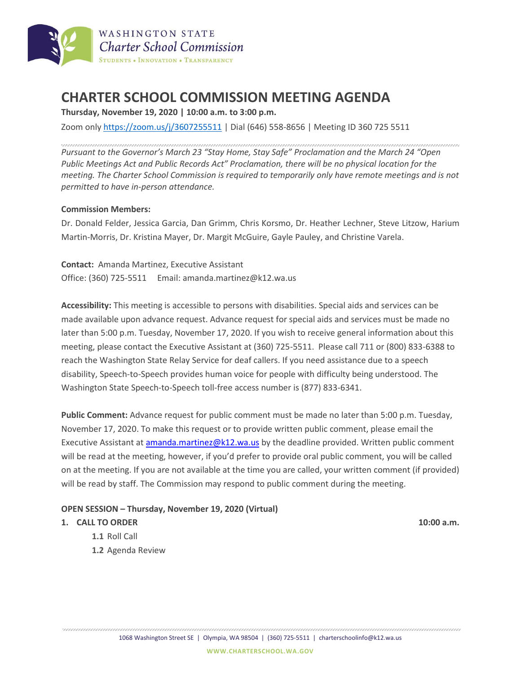

# **CHARTER SCHOOL COMMISSION MEETING AGENDA**

**Thursday, November 19, 2020 | 10:00 a.m. to 3:00 p.m.**

Zoom only <https://zoom.us/j/3607255511> | Dial (646) 558-8656 | Meeting ID 360 725 5511

*Pursuant to the Governor's March 23 "Stay Home, Stay Safe" Proclamation and the March 24 "Open Public Meetings Act and Public Records Act" Proclamation, there will be no physical location for the meeting. The Charter School Commission is required to temporarily only have remote meetings and is not permitted to have in-person attendance.*

### **Commission Members:**

Dr. Donald Felder, Jessica Garcia, Dan Grimm, Chris Korsmo, Dr. Heather Lechner, Steve Litzow, Harium Martin-Morris, Dr. Kristina Mayer, Dr. Margit McGuire, Gayle Pauley, and Christine Varela.

**Contact:** Amanda Martinez, Executive Assistant Office: (360) 725-5511 Email: amanda.martinez@k12.wa.us

**Accessibility:** This meeting is accessible to persons with disabilities. Special aids and services can be made available upon advance request. Advance request for special aids and services must be made no later than 5:00 p.m. Tuesday, November 17, 2020. If you wish to receive general information about this meeting, please contact the Executive Assistant at (360) 725-5511. Please call 711 or (800) 833-6388 to reach the Washington State Relay Service for deaf callers. If you need assistance due to a speech disability, Speech-to-Speech provides human voice for people with difficulty being understood. The Washington State Speech-to-Speech toll-free access number is (877) 833-6341.

**Public Comment:** Advance request for public comment must be made no later than 5:00 p.m. Tuesday, November 17, 2020. To make this request or to provide written public comment, please email the Executive Assistant at [amanda.martinez@k12.wa.us](mailto:amanda.martinez@k12.wa.us) by the deadline provided. Written public comment will be read at the meeting, however, if you'd prefer to provide oral public comment, you will be called on at the meeting. If you are not available at the time you are called, your written comment (if provided) will be read by staff. The Commission may respond to public comment during the meeting.

#### **OPEN SESSION – Thursday, November 19, 2020 (Virtual)**

#### **1. CALL TO ORDER 10:00 a.m.**

- **1.1** Roll Call
- **1.2** Agenda Review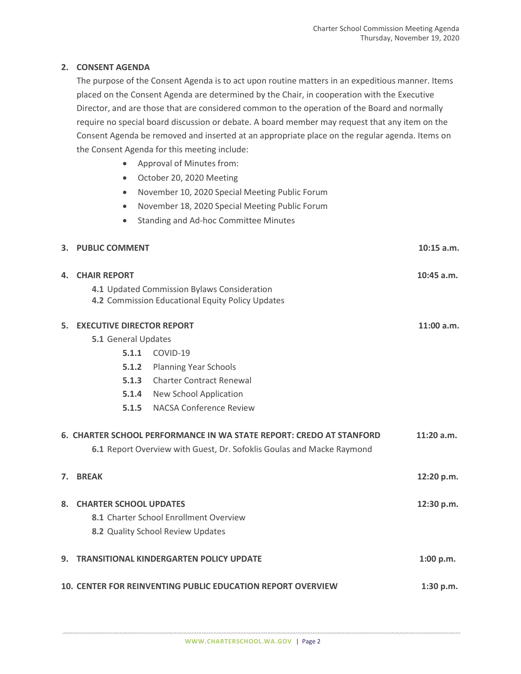## **2. CONSENT AGENDA**

The purpose of the Consent Agenda is to act upon routine matters in an expeditious manner. Items placed on the Consent Agenda are determined by the Chair, in cooperation with the Executive Director, and are those that are considered common to the operation of the Board and normally require no special board discussion or debate. A board member may request that any item on the Consent Agenda be removed and inserted at an appropriate place on the regular agenda. Items on the Consent Agenda for this meeting include:

- Approval of Minutes from:
- October 20, 2020 Meeting
- November 10, 2020 Special Meeting Public Forum
- November 18, 2020 Special Meeting Public Forum
- Standing and Ad-hoc Committee Minutes

| $10:15$ a.m. |
|--------------|
|              |

|                | <b>4. CHAIR REPORT</b><br>4.1 Updated Commission Bylaws Consideration<br>4.2 Commission Educational Equity Policy Updates                                    |                                     |            |  |
|----------------|--------------------------------------------------------------------------------------------------------------------------------------------------------------|-------------------------------------|------------|--|
| 5.             | <b>EXECUTIVE DIRECTOR REPORT</b><br>5.1 General Updates                                                                                                      | 11:00 a.m.                          |            |  |
|                | 5.1.1                                                                                                                                                        | COVID-19                            |            |  |
|                | 5.1.2                                                                                                                                                        | <b>Planning Year Schools</b>        |            |  |
|                | 5.1.3                                                                                                                                                        | <b>Charter Contract Renewal</b>     |            |  |
|                |                                                                                                                                                              | <b>5.1.4</b> New School Application |            |  |
|                | 5.1.5                                                                                                                                                        | <b>NACSA Conference Review</b>      |            |  |
|                | 6. CHARTER SCHOOL PERFORMANCE IN WA STATE REPORT: CREDO AT STANFORD<br>$11:20$ a.m.<br>6.1 Report Overview with Guest, Dr. Sofoklis Goulas and Macke Raymond |                                     |            |  |
| 7 <sup>1</sup> | <b>BREAK</b>                                                                                                                                                 |                                     | 12:20 p.m. |  |
|                | 8. CHARTER SCHOOL UPDATES<br>8.1 Charter School Enrollment Overview<br>8.2 Quality School Review Updates                                                     |                                     | 12:30 p.m. |  |
| 9.             | <b>TRANSITIONAL KINDERGARTEN POLICY UPDATE</b><br>1:00 p.m.                                                                                                  |                                     |            |  |
|                | <b>10. CENTER FOR REINVENTING PUBLIC EDUCATION REPORT OVERVIEW</b><br>1:30 p.m.                                                                              |                                     |            |  |